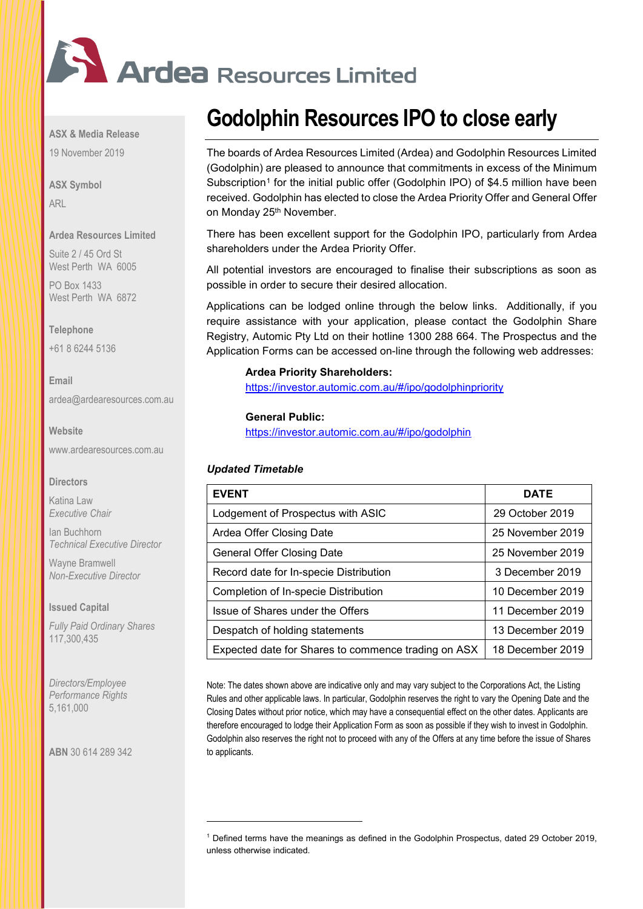

**ASX & Media Release**

19 November 2019

**ASX Symbol** ARL

## **Ardea Resources Limited**

Suite 2 / 45 Ord St West Perth WA 6005

PO Box 1433 West Perth WA 6872

### **Telephone**

+61 8 6244 5136

**Email** [ardea@ardearesources.com.au](mailto:ardea@ardearesources.com.au)

## **Website**

[www.ardearesources.com.au](http://www.ardearesources.com.au/)

### **Directors**

Katina Law *Executive Chair*

Ian Buchhorn *Technical Executive Director*

Wayne Bramwell *Non-Executive Director*

## **Issued Capital**

*Fully Paid Ordinary Shares* 117,300,435

*Directors/Employee Performance Rights* 5,161,000

<span id="page-0-0"></span>**ABN** 30 614 289 342

# **Godolphin Resources IPO to close early**

The boards of Ardea Resources Limited (Ardea) and Godolphin Resources Limited (Godolphin) are pleased to announce that commitments in excess of the Minimum Subscription<sup>[1](#page-0-0)</sup> for the initial public offer (Godolphin IPO) of \$4.5 million have been received. Godolphin has elected to close the Ardea Priority Offer and General Offer on Monday 25<sup>th</sup> November.

There has been excellent support for the Godolphin IPO, particularly from Ardea shareholders under the Ardea Priority Offer.

All potential investors are encouraged to finalise their subscriptions as soon as possible in order to secure their desired allocation.

Applications can be lodged online through the below links. Additionally, if you require assistance with your application, please contact the Godolphin Share Registry, Automic Pty Ltd on their hotline 1300 288 664. The Prospectus and the Application Forms can be accessed on-line through the following web addresses:

# **Ardea Priority Shareholders:**

<https://investor.automic.com.au/#/ipo/godolphinpriority>

## **General Public:**

<https://investor.automic.com.au/#/ipo/godolphin>

# *Updated Timetable*

| <b>EVENT</b>                                        | <b>DATE</b>      |
|-----------------------------------------------------|------------------|
| Lodgement of Prospectus with ASIC                   | 29 October 2019  |
| Ardea Offer Closing Date                            | 25 November 2019 |
| General Offer Closing Date                          | 25 November 2019 |
| Record date for In-specie Distribution              | 3 December 2019  |
| <b>Completion of In-specie Distribution</b>         | 10 December 2019 |
| Issue of Shares under the Offers                    | 11 December 2019 |
| Despatch of holding statements                      | 13 December 2019 |
| Expected date for Shares to commence trading on ASX | 18 December 2019 |

Note: The dates shown above are indicative only and may vary subject to the Corporations Act, the Listing Rules and other applicable laws. In particular, Godolphin reserves the right to vary the Opening Date and the Closing Dates without prior notice, which may have a consequential effect on the other dates. Applicants are therefore encouraged to lodge their Application Form as soon as possible if they wish to invest in Godolphin. Godolphin also reserves the right not to proceed with any of the Offers at any time before the issue of Shares to applicants.

<sup>1</sup> Defined terms have the meanings as defined in the Godolphin Prospectus, dated 29 October 2019, unless otherwise indicated.